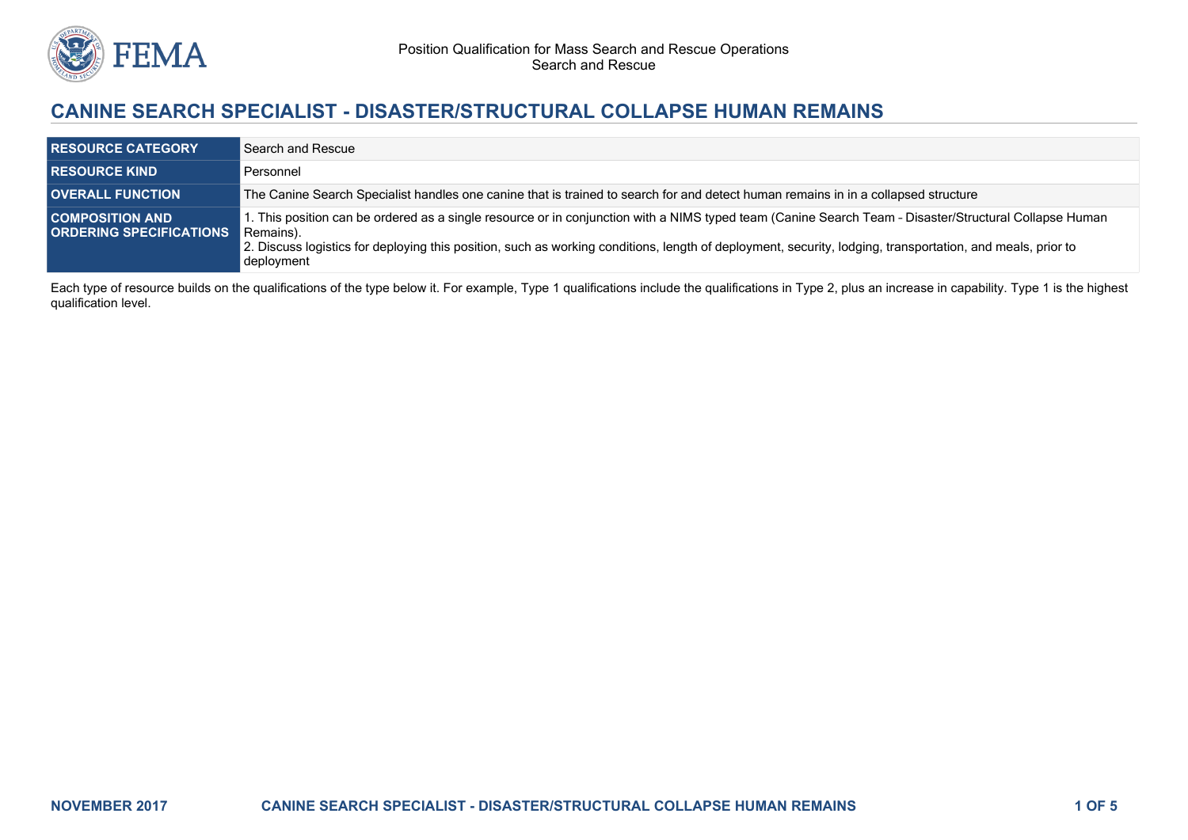

# **CANINE SEARCH SPECIALIST - DISASTER/STRUCTURAL COLLAPSE HUMAN REMAINS**

| <b>RESOURCE CATEGORY</b>                                 | Search and Rescue                                                                                                                                                                                                                                                                                                                              |
|----------------------------------------------------------|------------------------------------------------------------------------------------------------------------------------------------------------------------------------------------------------------------------------------------------------------------------------------------------------------------------------------------------------|
| <b>RESOURCE KIND</b>                                     | Personnel                                                                                                                                                                                                                                                                                                                                      |
| <b>OVERALL FUNCTION</b>                                  | The Canine Search Specialist handles one canine that is trained to search for and detect human remains in in a collapsed structure                                                                                                                                                                                                             |
| <b>COMPOSITION AND</b><br><b>ORDERING SPECIFICATIONS</b> | . This position can be ordered as a single resource or in conjunction with a NIMS typed team (Canine Search Team - Disaster/Structural Collapse Human<br>Remains).<br>2. Discuss logistics for deploying this position, such as working conditions, length of deployment, security, lodging, transportation, and meals, prior to<br>deployment |

Each type of resource builds on the qualifications of the type below it. For example, Type 1 qualifications include the qualifications in Type 2, plus an increase in capability. Type 1 is the highest qualification level.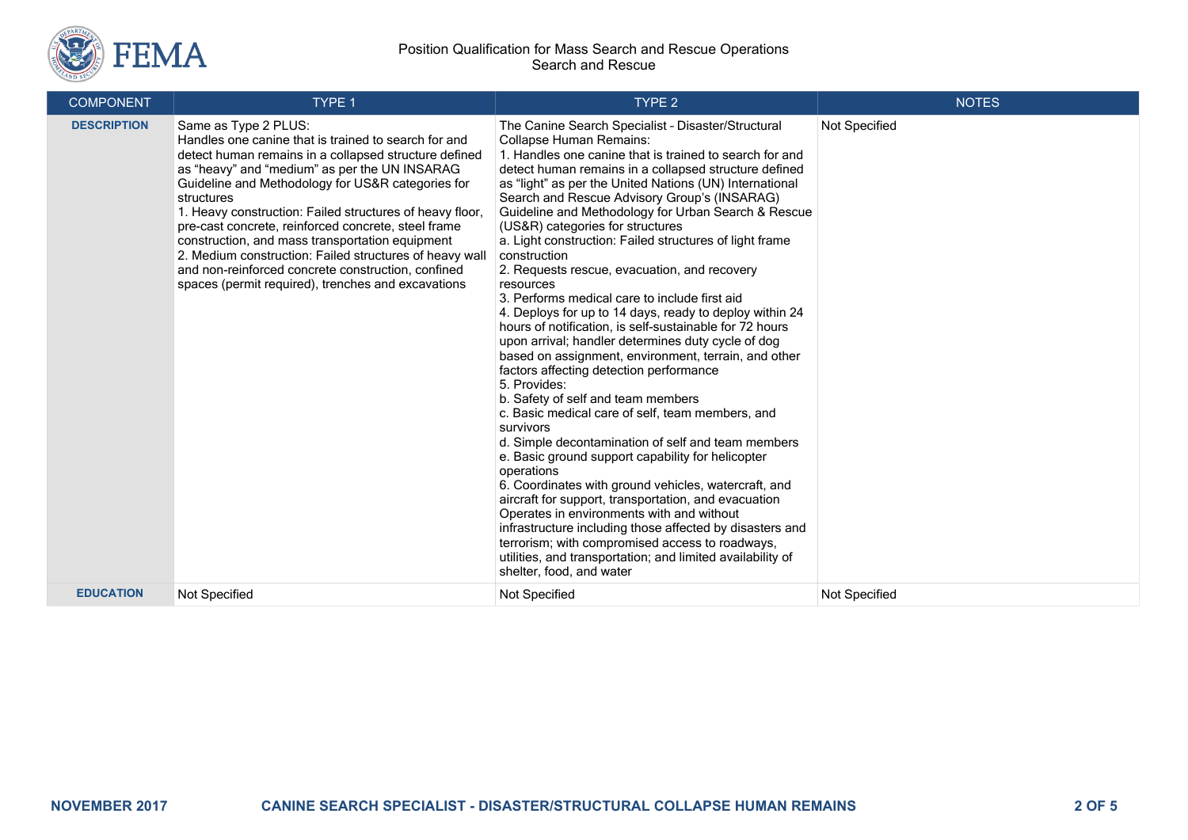

#### Position Qualification for Mass Search and Rescue Operations Search and Rescue

| <b>COMPONENT</b>   | <b>TYPE 1</b>                                                                                                                                                                                                                                                                                                                                                                                                                                                                                                                                                                                          | TYPE <sub>2</sub>                                                                                                                                                                                                                                                                                                                                                                                                                                                                                                                                                                                                                                                                                                                                                                                                                                                                                                                                                                                                                                                                                                                                                                                                                                                                                                                                                                                                                                                                                            | <b>NOTES</b>  |
|--------------------|--------------------------------------------------------------------------------------------------------------------------------------------------------------------------------------------------------------------------------------------------------------------------------------------------------------------------------------------------------------------------------------------------------------------------------------------------------------------------------------------------------------------------------------------------------------------------------------------------------|--------------------------------------------------------------------------------------------------------------------------------------------------------------------------------------------------------------------------------------------------------------------------------------------------------------------------------------------------------------------------------------------------------------------------------------------------------------------------------------------------------------------------------------------------------------------------------------------------------------------------------------------------------------------------------------------------------------------------------------------------------------------------------------------------------------------------------------------------------------------------------------------------------------------------------------------------------------------------------------------------------------------------------------------------------------------------------------------------------------------------------------------------------------------------------------------------------------------------------------------------------------------------------------------------------------------------------------------------------------------------------------------------------------------------------------------------------------------------------------------------------------|---------------|
| <b>DESCRIPTION</b> | Same as Type 2 PLUS:<br>Handles one canine that is trained to search for and<br>detect human remains in a collapsed structure defined<br>as "heavy" and "medium" as per the UN INSARAG<br>Guideline and Methodology for US&R categories for<br>structures<br>1. Heavy construction: Failed structures of heavy floor,<br>pre-cast concrete, reinforced concrete, steel frame<br>construction, and mass transportation equipment<br>2. Medium construction: Failed structures of heavy wall<br>and non-reinforced concrete construction, confined<br>spaces (permit required), trenches and excavations | The Canine Search Specialist - Disaster/Structural<br><b>Collapse Human Remains:</b><br>1. Handles one canine that is trained to search for and<br>detect human remains in a collapsed structure defined<br>as "light" as per the United Nations (UN) International<br>Search and Rescue Advisory Group's (INSARAG)<br>Guideline and Methodology for Urban Search & Rescue<br>(US&R) categories for structures<br>a. Light construction: Failed structures of light frame<br>construction<br>2. Requests rescue, evacuation, and recovery<br>resources<br>3. Performs medical care to include first aid<br>4. Deploys for up to 14 days, ready to deploy within 24<br>hours of notification, is self-sustainable for 72 hours<br>upon arrival; handler determines duty cycle of dog<br>based on assignment, environment, terrain, and other<br>factors affecting detection performance<br>5. Provides:<br>b. Safety of self and team members<br>c. Basic medical care of self, team members, and<br>survivors<br>d. Simple decontamination of self and team members<br>e. Basic ground support capability for helicopter<br>operations<br>6. Coordinates with ground vehicles, watercraft, and<br>aircraft for support, transportation, and evacuation<br>Operates in environments with and without<br>infrastructure including those affected by disasters and<br>terrorism; with compromised access to roadways,<br>utilities, and transportation; and limited availability of<br>shelter, food, and water | Not Specified |
| <b>EDUCATION</b>   | Not Specified                                                                                                                                                                                                                                                                                                                                                                                                                                                                                                                                                                                          | Not Specified                                                                                                                                                                                                                                                                                                                                                                                                                                                                                                                                                                                                                                                                                                                                                                                                                                                                                                                                                                                                                                                                                                                                                                                                                                                                                                                                                                                                                                                                                                | Not Specified |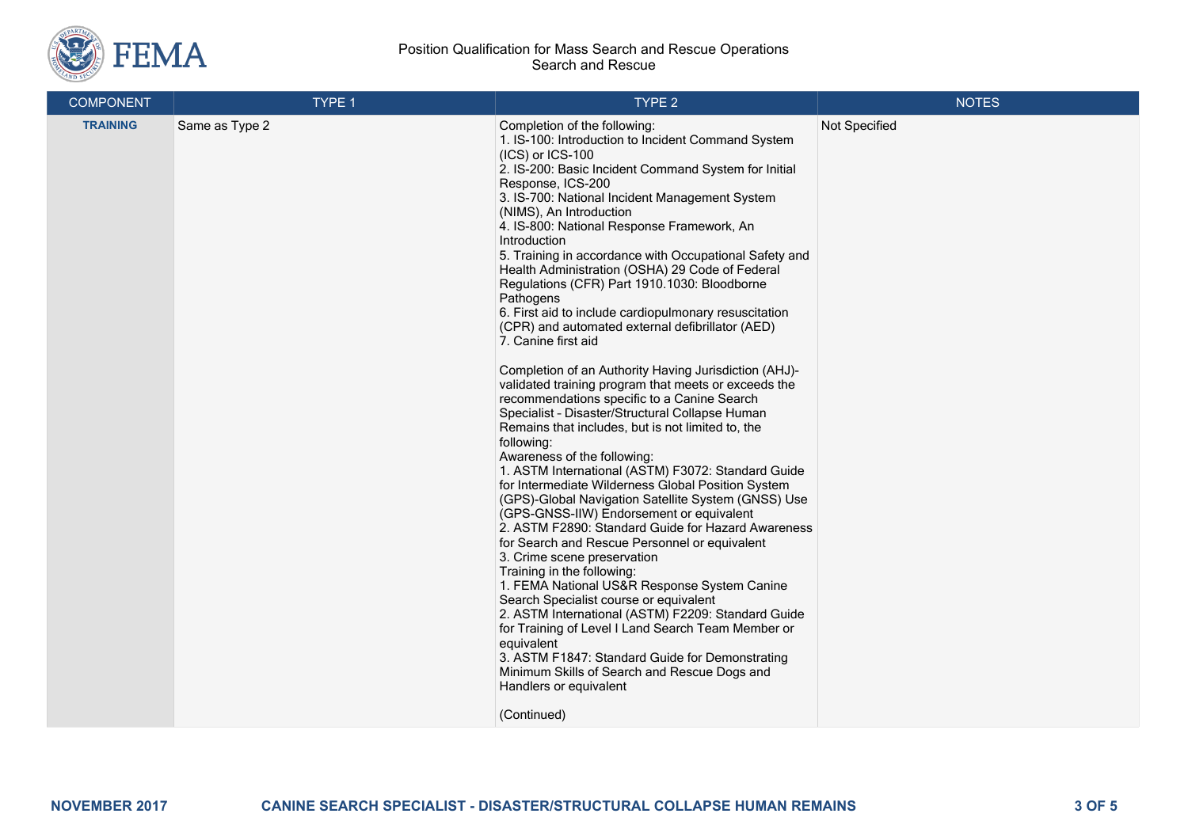

#### Position Qualification for Mass Search and Rescue Operations Search and Rescue

| <b>COMPONENT</b> | TYPE 1         | TYPE 2                                                                                                                                                                                                                                                                                                                                                                                                                                                                                                                                                                                                                                                                                                                                                                                                                                                                                                                                                                                                                                                                                                                                                                                                                                                                                                                                                                                                                                                                                                                                                                                                                                                                                                                   | <b>NOTES</b>  |
|------------------|----------------|--------------------------------------------------------------------------------------------------------------------------------------------------------------------------------------------------------------------------------------------------------------------------------------------------------------------------------------------------------------------------------------------------------------------------------------------------------------------------------------------------------------------------------------------------------------------------------------------------------------------------------------------------------------------------------------------------------------------------------------------------------------------------------------------------------------------------------------------------------------------------------------------------------------------------------------------------------------------------------------------------------------------------------------------------------------------------------------------------------------------------------------------------------------------------------------------------------------------------------------------------------------------------------------------------------------------------------------------------------------------------------------------------------------------------------------------------------------------------------------------------------------------------------------------------------------------------------------------------------------------------------------------------------------------------------------------------------------------------|---------------|
| <b>TRAINING</b>  | Same as Type 2 | Completion of the following:<br>1. IS-100: Introduction to Incident Command System<br>$(ICS)$ or $ICS-100$<br>2. IS-200: Basic Incident Command System for Initial<br>Response, ICS-200<br>3. IS-700: National Incident Management System<br>(NIMS), An Introduction<br>4. IS-800: National Response Framework, An<br>Introduction<br>5. Training in accordance with Occupational Safety and<br>Health Administration (OSHA) 29 Code of Federal<br>Regulations (CFR) Part 1910.1030: Bloodborne<br>Pathogens<br>6. First aid to include cardiopulmonary resuscitation<br>(CPR) and automated external defibrillator (AED)<br>7. Canine first aid<br>Completion of an Authority Having Jurisdiction (AHJ)-<br>validated training program that meets or exceeds the<br>recommendations specific to a Canine Search<br>Specialist - Disaster/Structural Collapse Human<br>Remains that includes, but is not limited to, the<br>following:<br>Awareness of the following:<br>1. ASTM International (ASTM) F3072: Standard Guide<br>for Intermediate Wilderness Global Position System<br>(GPS)-Global Navigation Satellite System (GNSS) Use<br>(GPS-GNSS-IIW) Endorsement or equivalent<br>2. ASTM F2890: Standard Guide for Hazard Awareness<br>for Search and Rescue Personnel or equivalent<br>3. Crime scene preservation<br>Training in the following:<br>1. FEMA National US&R Response System Canine<br>Search Specialist course or equivalent<br>2. ASTM International (ASTM) F2209: Standard Guide<br>for Training of Level I Land Search Team Member or<br>equivalent<br>3. ASTM F1847: Standard Guide for Demonstrating<br>Minimum Skills of Search and Rescue Dogs and<br>Handlers or equivalent<br>(Continued) | Not Specified |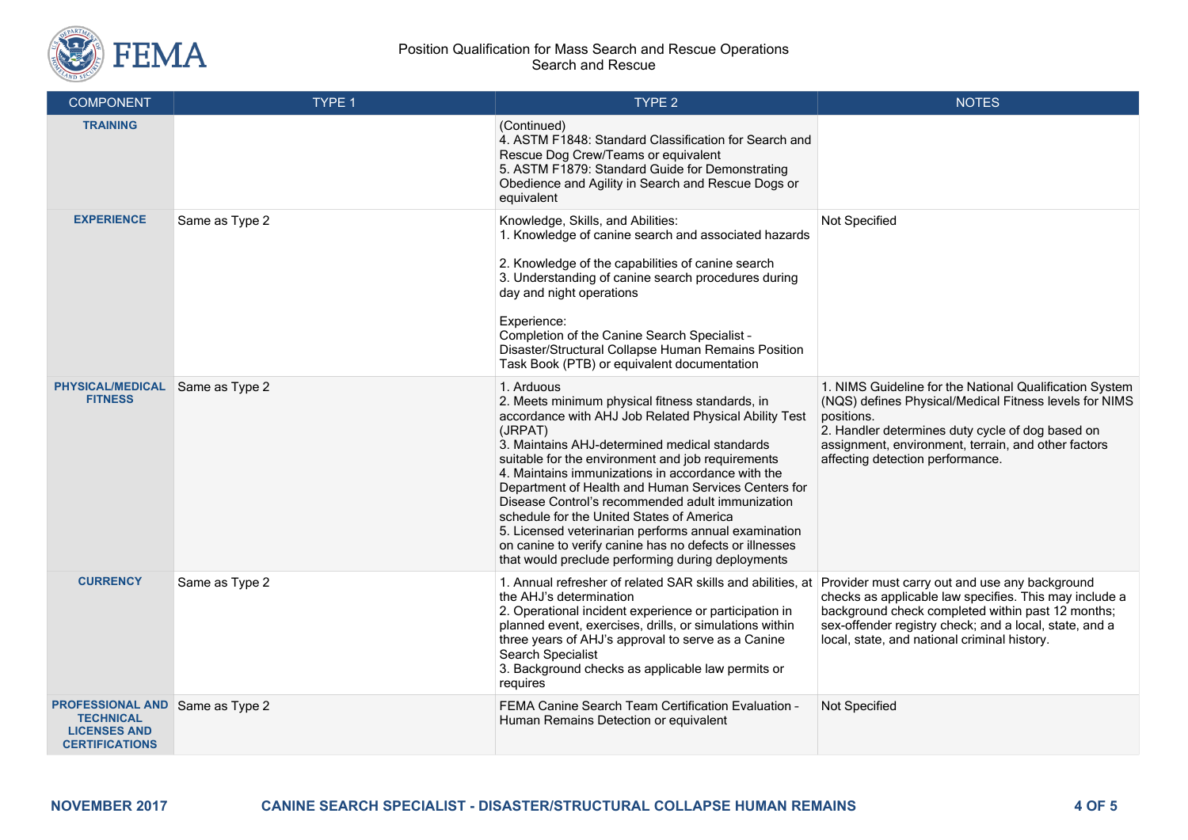

#### Position Qualification for Mass Search and Rescue Operations Search and Rescue

| <b>COMPONENT</b>                                                                                           | TYPE 1         | TYPE <sub>2</sub>                                                                                                                                                                                                                                                                                                                                                                                                                                                                                                                                                                                                           | <b>NOTES</b>                                                                                                                                                                                                                                                                   |
|------------------------------------------------------------------------------------------------------------|----------------|-----------------------------------------------------------------------------------------------------------------------------------------------------------------------------------------------------------------------------------------------------------------------------------------------------------------------------------------------------------------------------------------------------------------------------------------------------------------------------------------------------------------------------------------------------------------------------------------------------------------------------|--------------------------------------------------------------------------------------------------------------------------------------------------------------------------------------------------------------------------------------------------------------------------------|
| <b>TRAINING</b>                                                                                            |                | (Continued)<br>4. ASTM F1848: Standard Classification for Search and<br>Rescue Dog Crew/Teams or equivalent<br>5. ASTM F1879: Standard Guide for Demonstrating<br>Obedience and Agility in Search and Rescue Dogs or<br>equivalent                                                                                                                                                                                                                                                                                                                                                                                          |                                                                                                                                                                                                                                                                                |
| <b>EXPERIENCE</b>                                                                                          | Same as Type 2 | Knowledge, Skills, and Abilities:<br>1. Knowledge of canine search and associated hazards<br>2. Knowledge of the capabilities of canine search<br>3. Understanding of canine search procedures during<br>day and night operations<br>Experience:<br>Completion of the Canine Search Specialist -<br>Disaster/Structural Collapse Human Remains Position<br>Task Book (PTB) or equivalent documentation                                                                                                                                                                                                                      | Not Specified                                                                                                                                                                                                                                                                  |
| <b>PHYSICAL/MEDICAL</b><br><b>FITNESS</b>                                                                  | Same as Type 2 | 1. Arduous<br>2. Meets minimum physical fitness standards, in<br>accordance with AHJ Job Related Physical Ability Test<br>(JRPAT)<br>3. Maintains AHJ-determined medical standards<br>suitable for the environment and job requirements<br>4. Maintains immunizations in accordance with the<br>Department of Health and Human Services Centers for<br>Disease Control's recommended adult immunization<br>schedule for the United States of America<br>5. Licensed veterinarian performs annual examination<br>on canine to verify canine has no defects or illnesses<br>that would preclude performing during deployments | 1. NIMS Guideline for the National Qualification System<br>(NQS) defines Physical/Medical Fitness levels for NIMS<br>positions.<br>2. Handler determines duty cycle of dog based on<br>assignment, environment, terrain, and other factors<br>affecting detection performance. |
| <b>CURRENCY</b>                                                                                            | Same as Type 2 | 1. Annual refresher of related SAR skills and abilities, at<br>the AHJ's determination<br>2. Operational incident experience or participation in<br>planned event, exercises, drills, or simulations within<br>three years of AHJ's approval to serve as a Canine<br>Search Specialist<br>3. Background checks as applicable law permits or<br>requires                                                                                                                                                                                                                                                                     | Provider must carry out and use any background<br>checks as applicable law specifies. This may include a<br>background check completed within past 12 months;<br>sex-offender registry check; and a local, state, and a<br>local, state, and national criminal history.        |
| <b>PROFESSIONAL AND Same as Type 2</b><br><b>TECHNICAL</b><br><b>LICENSES AND</b><br><b>CERTIFICATIONS</b> |                | FEMA Canine Search Team Certification Evaluation -<br>Human Remains Detection or equivalent                                                                                                                                                                                                                                                                                                                                                                                                                                                                                                                                 | Not Specified                                                                                                                                                                                                                                                                  |